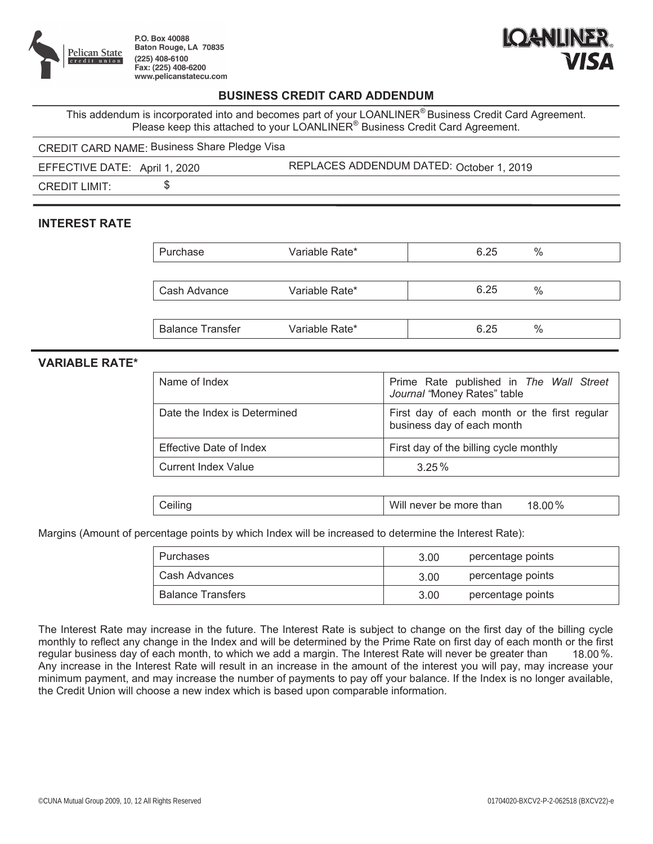

P.O. Box 40088 Baton Rouge, LA 70835  $(225)$  408-6100 Fax: (225) 408-6200 www.pelicanstatecu.com



## **BUSINESS CREDIT CARD ADDENDUM**

This addendum is incorporated into and becomes part of your LOANLINER® Business Credit Card Agreement. Please keep this attached to your  $LOANLINER^@$  Business Credit Card Agreement.

CREDIT CARD NAME: Business Share Pledge Visa

EFFECTIVE DATE: April 1, 2020 REPLACES ADDENDUM DATED: October 1, 2019

CREDIT LIMIT: \$

## **INTEREST RATE**

| Purchase                | Variable Rate* | 6.25 | $\%$          |
|-------------------------|----------------|------|---------------|
|                         |                |      |               |
| Cash Advance            | Variable Rate* | 6.25 | $\%$          |
|                         |                |      |               |
| <b>Balance Transfer</b> | Variable Rate* | 6.25 | $\frac{0}{0}$ |

## **VARIABLE RATE\***

| Name of Index                | Prime Rate published in The Wall Street<br>Journal "Money Rates" table     |
|------------------------------|----------------------------------------------------------------------------|
| Date the Index is Determined | First day of each month or the first regular<br>business day of each month |
| Effective Date of Index      | First day of the billing cycle monthly                                     |
| <b>Current Index Value</b>   | 325%                                                                       |

| Will<br>Ceiling | , more than<br>never<br>be<br>∼ | .00% |
|-----------------|---------------------------------|------|
|-----------------|---------------------------------|------|

Margins (Amount of percentage points by which Index will be increased to determine the Interest Rate):

| Purchases                | 3.00 | percentage points |
|--------------------------|------|-------------------|
| Cash Advances            | 3.00 | percentage points |
| <b>Balance Transfers</b> | 3.00 | percentage points |

The Interest Rate may increase in the future. The Interest Rate is subject to change on the first day of the billing cycle monthly to reflect any change in the Index and will be determined by the Prime Rate on first day of each month or the first regular business day of each month, to which we add a margin. The Interest Rate will never be greater than Any increase in the Interest Rate will result in an increase in the amount of the interest you will pay, may increase your minimum payment, and may increase the number of payments to pay off your balance. If the Index is no longer available, the Credit Union will choose a new index which is based upon comparable information. 18.00